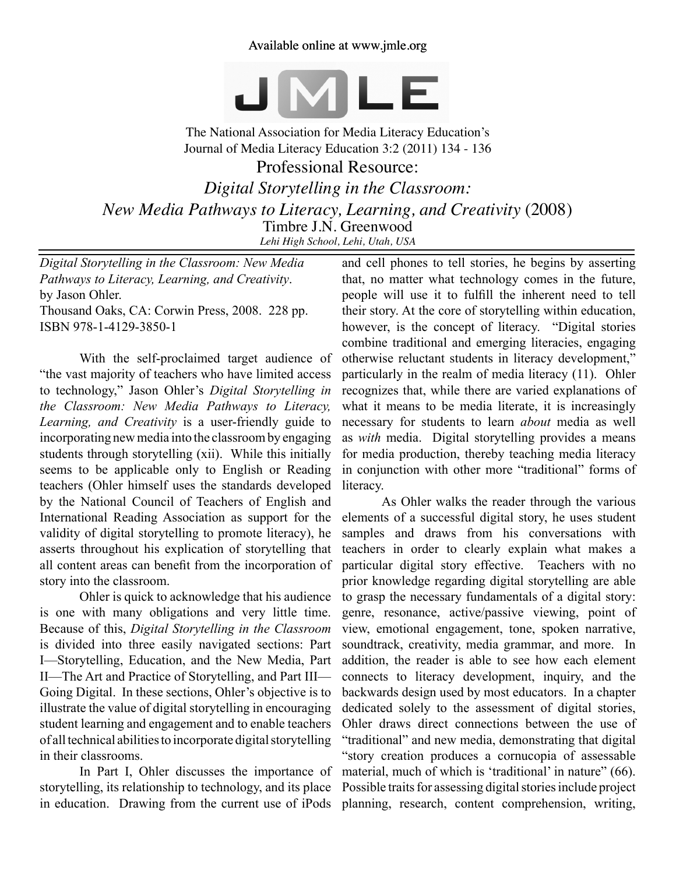

The National Association for Media Literacy Education's Journal of Media Literacy Education 3:2 (2011) 134 - 136

Professional Resource: *Digital Storytelling in the Classroom: New Media Pathways to Literacy, Learning, and Creativity* (2008) Timbre J.N. Greenwood *Lehi High School, Lehi, Utah, USA*

*Digital Storytelling in the Classroom: New Media Pathways to Literacy, Learning, and Creativity*. by Jason Ohler. Thousand Oaks, CA: Corwin Press, 2008. 228 pp. ISBN 978-1-4129-3850-1

With the self-proclaimed target audience of "the vast majority of teachers who have limited access to technology," Jason Ohler's *Digital Storytelling in the Classroom: New Media Pathways to Literacy, Learning, and Creativity* is a user-friendly guide to incorporating new media into the classroom by engaging students through storytelling (xii). While this initially seems to be applicable only to English or Reading teachers (Ohler himself uses the standards developed by the National Council of Teachers of English and International Reading Association as support for the validity of digital storytelling to promote literacy), he asserts throughout his explication of storytelling that all content areas can benefit from the incorporation of story into the classroom.

Ohler is quick to acknowledge that his audience is one with many obligations and very little time. Because of this, *Digital Storytelling in the Classroom* is divided into three easily navigated sections: Part I—Storytelling, Education, and the New Media, Part II—The Art and Practice of Storytelling, and Part III— Going Digital. In these sections, Ohler's objective is to illustrate the value of digital storytelling in encouraging student learning and engagement and to enable teachers of all technical abilities to incorporate digital storytelling in their classrooms.

In Part I, Ohler discusses the importance of storytelling, its relationship to technology, and its place in education. Drawing from the current use of iPods

and cell phones to tell stories, he begins by asserting that, no matter what technology comes in the future, people will use it to fulfill the inherent need to tell their story. At the core of storytelling within education, however, is the concept of literacy. "Digital stories combine traditional and emerging literacies, engaging otherwise reluctant students in literacy development," particularly in the realm of media literacy (11). Ohler recognizes that, while there are varied explanations of what it means to be media literate, it is increasingly necessary for students to learn *about* media as well as *with* media. Digital storytelling provides a means for media production, thereby teaching media literacy in conjunction with other more "traditional" forms of literacy.

As Ohler walks the reader through the various elements of a successful digital story, he uses student samples and draws from his conversations with teachers in order to clearly explain what makes a particular digital story effective. Teachers with no prior knowledge regarding digital storytelling are able to grasp the necessary fundamentals of a digital story: genre, resonance, active/passive viewing, point of view, emotional engagement, tone, spoken narrative, soundtrack, creativity, media grammar, and more. In addition, the reader is able to see how each element connects to literacy development, inquiry, and the backwards design used by most educators. In a chapter dedicated solely to the assessment of digital stories, Ohler draws direct connections between the use of "traditional" and new media, demonstrating that digital "story creation produces a cornucopia of assessable material, much of which is 'traditional' in nature" (66). Possible traits for assessing digital stories include project planning, research, content comprehension, writing,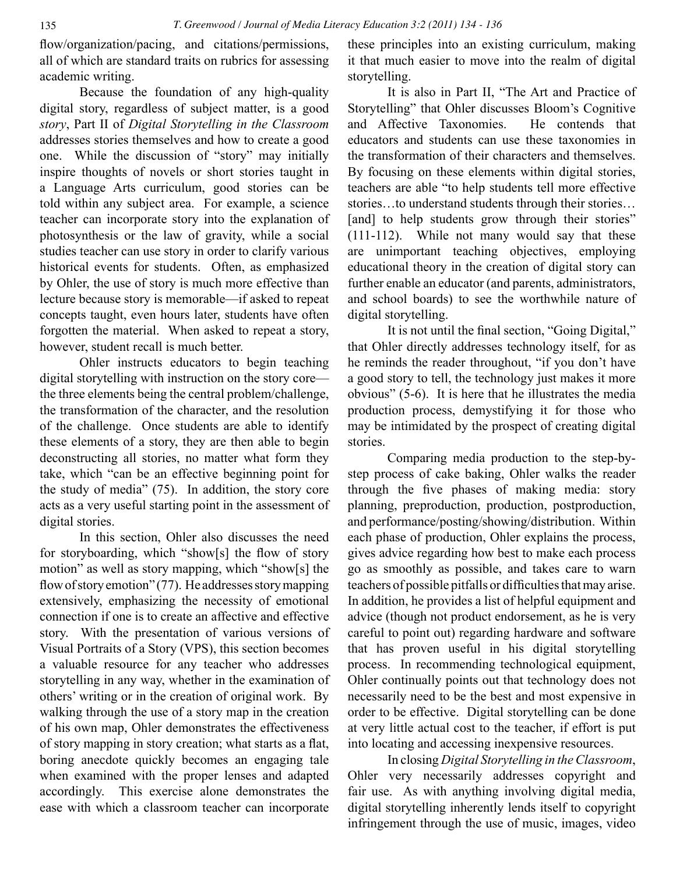flow/organization/pacing, and citations/permissions, all of which are standard traits on rubrics for assessing academic writing.

Because the foundation of any high-quality digital story, regardless of subject matter, is a good *story*, Part II of *Digital Storytelling in the Classroom* addresses stories themselves and how to create a good one. While the discussion of "story" may initially inspire thoughts of novels or short stories taught in a Language Arts curriculum, good stories can be told within any subject area. For example, a science teacher can incorporate story into the explanation of photosynthesis or the law of gravity, while a social studies teacher can use story in order to clarify various historical events for students. Often, as emphasized by Ohler, the use of story is much more effective than lecture because story is memorable—if asked to repeat concepts taught, even hours later, students have often forgotten the material. When asked to repeat a story, however, student recall is much better.

Ohler instructs educators to begin teaching digital storytelling with instruction on the story core the three elements being the central problem/challenge, the transformation of the character, and the resolution of the challenge. Once students are able to identify these elements of a story, they are then able to begin deconstructing all stories, no matter what form they take, which "can be an effective beginning point for the study of media" (75). In addition, the story core acts as a very useful starting point in the assessment of digital stories.

In this section, Ohler also discusses the need for storyboarding, which "show[s] the flow of story motion" as well as story mapping, which "show[s] the flow of story emotion" (77). He addresses story mapping extensively, emphasizing the necessity of emotional connection if one is to create an affective and effective story. With the presentation of various versions of Visual Portraits of a Story (VPS), this section becomes a valuable resource for any teacher who addresses storytelling in any way, whether in the examination of others' writing or in the creation of original work. By walking through the use of a story map in the creation of his own map, Ohler demonstrates the effectiveness of story mapping in story creation; what starts as a flat, boring anecdote quickly becomes an engaging tale when examined with the proper lenses and adapted accordingly. This exercise alone demonstrates the ease with which a classroom teacher can incorporate

these principles into an existing curriculum, making it that much easier to move into the realm of digital storytelling.

It is also in Part II, "The Art and Practice of Storytelling" that Ohler discusses Bloom's Cognitive and Affective Taxonomies. He contends that educators and students can use these taxonomies in the transformation of their characters and themselves. By focusing on these elements within digital stories, teachers are able "to help students tell more effective stories…to understand students through their stories… [and] to help students grow through their stories" (111-112). While not many would say that these are unimportant teaching objectives, employing educational theory in the creation of digital story can further enable an educator (and parents, administrators, and school boards) to see the worthwhile nature of digital storytelling.

It is not until the final section, "Going Digital," that Ohler directly addresses technology itself, for as he reminds the reader throughout, "if you don't have a good story to tell, the technology just makes it more obvious" (5-6). It is here that he illustrates the media production process, demystifying it for those who may be intimidated by the prospect of creating digital stories.

Comparing media production to the step-bystep process of cake baking, Ohler walks the reader through the five phases of making media: story planning, preproduction, production, postproduction, and performance/posting/showing/distribution. Within each phase of production, Ohler explains the process, gives advice regarding how best to make each process go as smoothly as possible, and takes care to warn teachers of possible pitfalls or difficulties that may arise. In addition, he provides a list of helpful equipment and advice (though not product endorsement, as he is very careful to point out) regarding hardware and software that has proven useful in his digital storytelling process. In recommending technological equipment, Ohler continually points out that technology does not necessarily need to be the best and most expensive in order to be effective. Digital storytelling can be done at very little actual cost to the teacher, if effort is put into locating and accessing inexpensive resources.

In closing *Digital Storytelling in the Classroom*, Ohler very necessarily addresses copyright and fair use. As with anything involving digital media, digital storytelling inherently lends itself to copyright infringement through the use of music, images, video